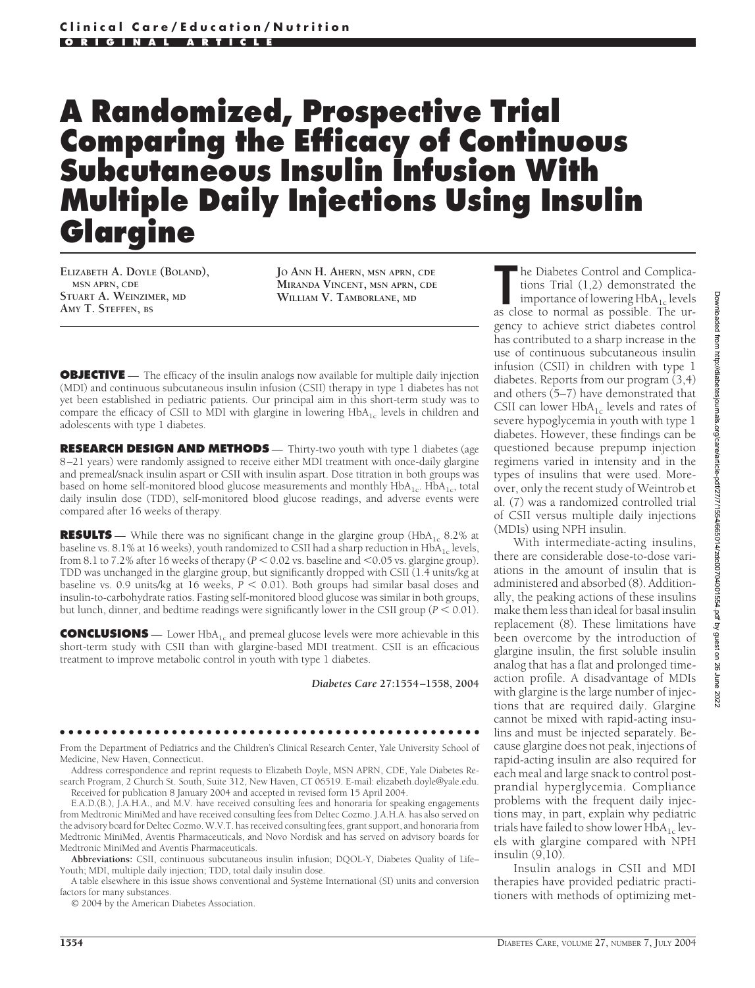# **A Randomized, Prospective Trial Comparing the Efficacy of Continuous Subcutaneous Insulin Infusion With Multiple Daily Injections Using Insulin Glargine**

**ELIZABETH A. DOYLE (BOLAND), MSN APRN, CDE STUART A. WEINZIMER, MD AMY T. STEFFEN, BS**

**JO ANN H. AHERN, MSN APRN, CDE MIRANDA VINCENT, MSN APRN, CDE WILLIAM V. TAMBORLANE, MD**

**OBJECTIVE** — The efficacy of the insulin analogs now available for multiple daily injection (MDI) and continuous subcutaneous insulin infusion (CSII) therapy in type 1 diabetes has not yet been established in pediatric patients. Our principal aim in this short-term study was to compare the efficacy of CSII to MDI with glargine in lowering  $HbA_{1c}$  levels in children and adolescents with type 1 diabetes.

**RESEARCH DESIGN AND METHODS** - Thirty-two youth with type 1 diabetes (age 8–21 years) were randomly assigned to receive either MDI treatment with once-daily glargine and premeal/snack insulin aspart or CSII with insulin aspart. Dose titration in both groups was based on home self-monitored blood glucose measurements and monthly  $HbA_{1c}$ .  $HbA_{1c}$ , total daily insulin dose (TDD), self-monitored blood glucose readings, and adverse events were compared after 16 weeks of therapy.

**RESULTS** — While there was no significant change in the glargine group (HbA<sub>1c</sub> 8.2% at baseline vs. 8.1% at 16 weeks), youth randomized to CSII had a sharp reduction in HbA<sub>1c</sub> levels, from 8.1 to 7.2% after 16 weeks of therapy  $(P < 0.02$  vs. baseline and  $< 0.05$  vs. glargine group). TDD was unchanged in the glargine group, but significantly dropped with CSII (1.4 units/kg at baseline vs. 0.9 units/kg at  $16$  weeks,  $P < 0.01$ ). Both groups had similar basal doses and insulin-to-carbohydrate ratios. Fasting self-monitored blood glucose was similar in both groups, but lunch, dinner, and bedtime readings were significantly lower in the CSII group ( $P < 0.01$ ).

**CONCLUSIONS** — Lower HbA<sub>1c</sub> and premeal glucose levels were more achievable in this short-term study with CSII than with glargine-based MDI treatment. CSII is an efficacious treatment to improve metabolic control in youth with type 1 diabetes.

*Diabetes Care* **27:1554–1558, 2004**

## ●●●●●●●●●●●●●●●●●●●●●●●●●●●●●●●●●●●●●●●●●●●●●●●●●

From the Department of Pediatrics and the Children's Clinical Research Center, Yale University School of Medicine, New Haven, Connecticut.

Address correspondence and reprint requests to Elizabeth Doyle, MSN APRN, CDE, Yale Diabetes Research Program, 2 Church St. South, Suite 312, New Haven, CT 06519. E-mail: elizabeth.doyle@yale.edu. Received for publication 8 January 2004 and accepted in revised form 15 April 2004.

E.A.D.(B.), J.A.H.A., and M.V. have received consulting fees and honoraria for speaking engagements from Medtronic MiniMed and have received consulting fees from Deltec Cozmo. J.A.H.A. has also served on the advisory board for Deltec Cozmo. W.V.T. has received consulting fees, grant support, and honoraria from Medtronic MiniMed, Aventis Pharmaceuticals, and Novo Nordisk and has served on advisory boards for Medtronic MiniMed and Aventis Pharmaceuticals.

**Abbreviations:** CSII, continuous subcutaneous insulin infusion; DQOL-Y, Diabetes Quality of Life– Youth; MDI, multiple daily injection; TDD, total daily insulin dose.

A table elsewhere in this issue shows conventional and Système International (SI) units and conversion factors for many substances.

© 2004 by the American Diabetes Association.

The Diabetes Control and Complications Trial (1,2) demonstrated the importance of lowering HbA<sub>1c</sub> levels as close to normal as possible. The urhe Diabetes Control and Complications Trial (1,2) demonstrated the importance of lowering  $HbA_{1c}$  levels gency to achieve strict diabetes control has contributed to a sharp increase in the use of continuous subcutaneous insulin infusion (CSII) in children with type 1 diabetes. Reports from our program (3,4) and others (5–7) have demonstrated that CSII can lower  $HbA_{1c}$  levels and rates of severe hypoglycemia in youth with type 1 diabetes. However, these findings can be questioned because prepump injection regimens varied in intensity and in the types of insulins that were used. Moreover, only the recent study of Weintrob et al. (7) was a randomized controlled trial of CSII versus multiple daily injections (MDIs) using NPH insulin.

With intermediate-acting insulins, there are considerable dose-to-dose variations in the amount of insulin that is administered and absorbed (8). Additionally, the peaking actions of these insulins make them less than ideal for basal insulin replacement (8). These limitations have been overcome by the introduction of glargine insulin, the first soluble insulin analog that has a flat and prolonged timeaction profile. A disadvantage of MDIs with glargine is the large number of injections that are required daily. Glargine cannot be mixed with rapid-acting insulins and must be injected separately. Because glargine does not peak, injections of rapid-acting insulin are also required for each meal and large snack to control postprandial hyperglycemia. Compliance problems with the frequent daily injections may, in part, explain why pediatric trials have failed to show lower  $HbA_{1c}$  levels with glargine compared with NPH insulin (9,10).

Insulin analogs in CSII and MDI therapies have provided pediatric practitioners with methods of optimizing met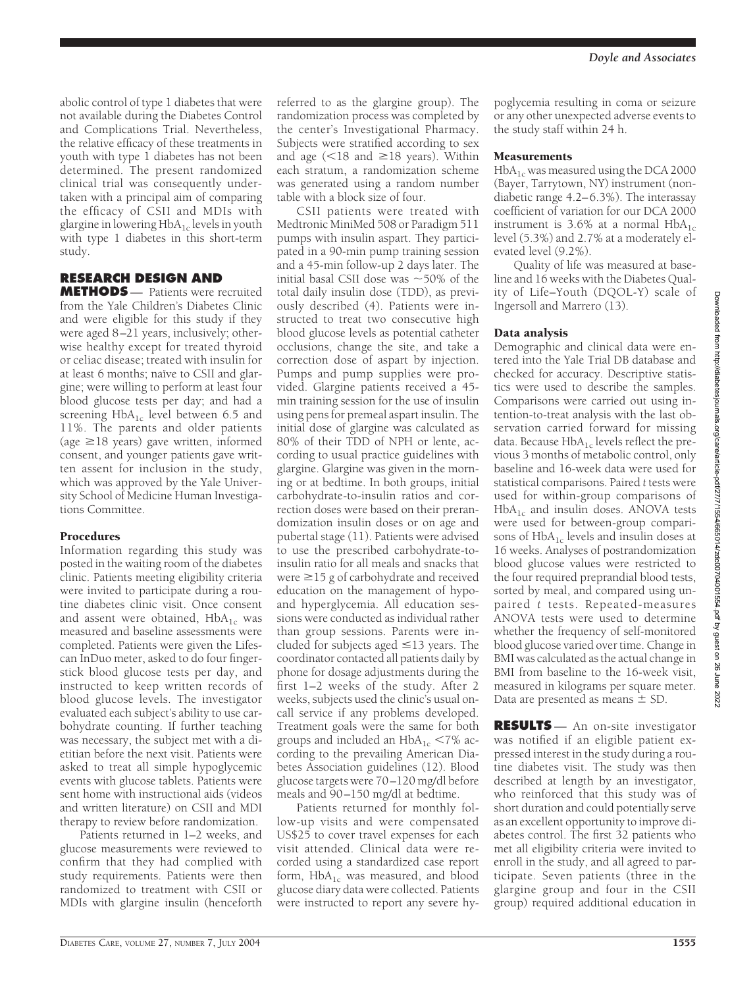abolic control of type 1 diabetes that were not available during the Diabetes Control and Complications Trial. Nevertheless, the relative efficacy of these treatments in youth with type 1 diabetes has not been determined. The present randomized clinical trial was consequently undertaken with a principal aim of comparing the efficacy of CSII and MDIs with glargine in lowering  $HbA_{1c}$  levels in youth with type 1 diabetes in this short-term study.

## **RESEARCH DESIGN AND**

**METHODS** — Patients were recruited from the Yale Children's Diabetes Clinic and were eligible for this study if they were aged 8–21 years, inclusively; otherwise healthy except for treated thyroid or celiac disease; treated with insulin for at least 6 months; naïve to CSII and glargine; were willing to perform at least four blood glucose tests per day; and had a screening  $HbA_{1c}$  level between 6.5 and 11%. The parents and older patients (age  $\geq$ 18 years) gave written, informed consent, and younger patients gave written assent for inclusion in the study, which was approved by the Yale University School of Medicine Human Investigations Committee.

## Procedures

Information regarding this study was posted in the waiting room of the diabetes clinic. Patients meeting eligibility criteria were invited to participate during a routine diabetes clinic visit. Once consent and assent were obtained,  $HbA_{1c}$  was measured and baseline assessments were completed. Patients were given the Lifescan InDuo meter, asked to do four fingerstick blood glucose tests per day, and instructed to keep written records of blood glucose levels. The investigator evaluated each subject's ability to use carbohydrate counting. If further teaching was necessary, the subject met with a dietitian before the next visit. Patients were asked to treat all simple hypoglycemic events with glucose tablets. Patients were sent home with instructional aids (videos and written literature) on CSII and MDI therapy to review before randomization.

Patients returned in 1–2 weeks, and glucose measurements were reviewed to confirm that they had complied with study requirements. Patients were then randomized to treatment with CSII or MDIs with glargine insulin (henceforth

referred to as the glargine group). The randomization process was completed by the center's Investigational Pharmacy. Subjects were stratified according to sex and age  $($  18 and  $\geq 18$  years). Within each stratum, a randomization scheme was generated using a random number table with a block size of four.

CSII patients were treated with Medtronic MiniMed 508 or Paradigm 511 pumps with insulin aspart. They participated in a 90-min pump training session and a 45-min follow-up 2 days later. The initial basal CSII dose was  ${\sim}50\%$  of the total daily insulin dose (TDD), as previously described (4). Patients were instructed to treat two consecutive high blood glucose levels as potential catheter occlusions, change the site, and take a correction dose of aspart by injection. Pumps and pump supplies were provided. Glargine patients received a 45 min training session for the use of insulin using pens for premeal aspart insulin. The initial dose of glargine was calculated as 80% of their TDD of NPH or lente, according to usual practice guidelines with glargine. Glargine was given in the morning or at bedtime. In both groups, initial carbohydrate-to-insulin ratios and correction doses were based on their prerandomization insulin doses or on age and pubertal stage (11). Patients were advised to use the prescribed carbohydrate-toinsulin ratio for all meals and snacks that were  $\geq$ 15 g of carbohydrate and received education on the management of hypoand hyperglycemia. All education sessions were conducted as individual rather than group sessions. Parents were included for subjects aged  $\leq$ 13 years. The coordinator contacted all patients daily by phone for dosage adjustments during the first 1–2 weeks of the study. After 2 weeks, subjects used the clinic's usual oncall service if any problems developed. Treatment goals were the same for both groups and included an  $HbA_{1c} < 7\%$  according to the prevailing American Diabetes Association guidelines (12). Blood glucose targets were 70–120 mg/dl before meals and 90–150 mg/dl at bedtime.

Patients returned for monthly follow-up visits and were compensated US\$25 to cover travel expenses for each visit attended. Clinical data were recorded using a standardized case report form,  $HbA_{1c}$  was measured, and blood glucose diary data were collected. Patients were instructed to report any severe hypoglycemia resulting in coma or seizure or any other unexpected adverse events to the study staff within 24 h.

## Measurements

HbA<sub>1c</sub> was measured using the DCA 2000 (Bayer, Tarrytown, NY) instrument (nondiabetic range 4.2–6.3%). The interassay coefficient of variation for our DCA 2000 instrument is 3.6% at a normal  $HbA_{1c}$ level (5.3%) and 2.7% at a moderately elevated level (9.2%).

Quality of life was measured at baseline and 16 weeks with the Diabetes Quality of Life–Youth (DQOL-Y) scale of Ingersoll and Marrero (13).

## Data analysis

Demographic and clinical data were entered into the Yale Trial DB database and checked for accuracy. Descriptive statistics were used to describe the samples. Comparisons were carried out using intention-to-treat analysis with the last observation carried forward for missing data. Because  $HbA_{1c}$  levels reflect the previous 3 months of metabolic control, only baseline and 16-week data were used for statistical comparisons. Paired *t* tests were used for within-group comparisons of  $HbA_{1c}$  and insulin doses. ANOVA tests were used for between-group comparisons of  $HbA_{1c}$  levels and insulin doses at 16 weeks. Analyses of postrandomization blood glucose values were restricted to the four required preprandial blood tests, sorted by meal, and compared using unpaired *t* tests. Repeated-measures ANOVA tests were used to determine whether the frequency of self-monitored blood glucose varied over time. Change in BMI was calculated as the actual change in BMI from baseline to the 16-week visit, measured in kilograms per square meter. Data are presented as means  $\pm$  SD.

**RESULTS** — An on-site investigator was notified if an eligible patient expressed interest in the study during a routine diabetes visit. The study was then described at length by an investigator, who reinforced that this study was of short duration and could potentially serve as an excellent opportunity to improve diabetes control. The first 32 patients who met all eligibility criteria were invited to enroll in the study, and all agreed to participate. Seven patients (three in the glargine group and four in the CSII group) required additional education in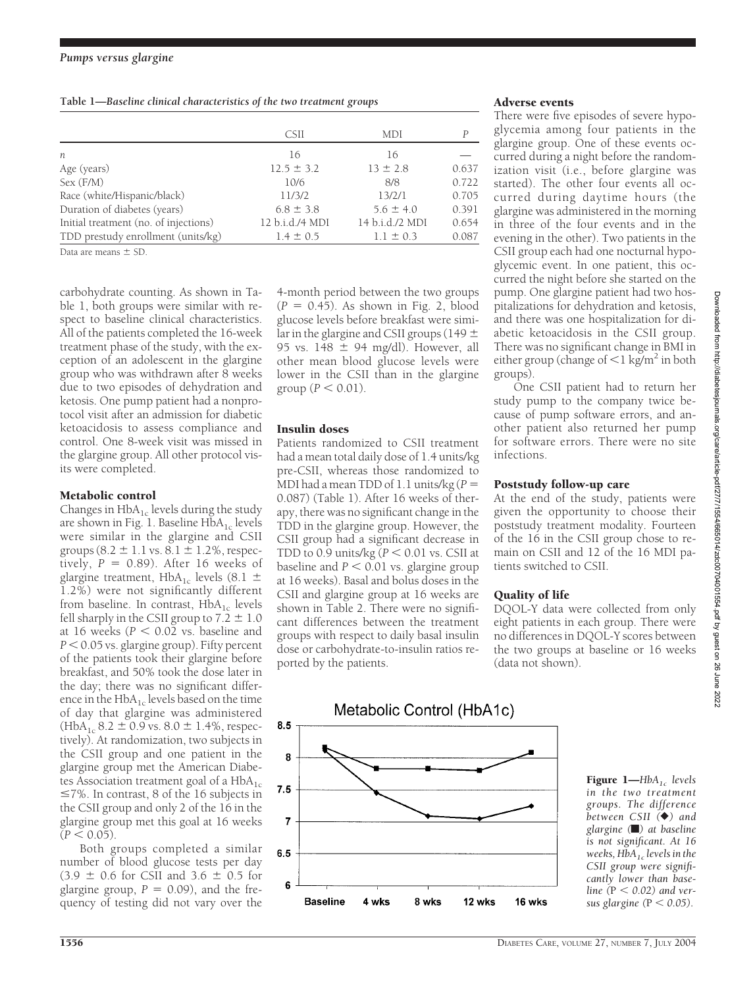#### *Pumps versus glargine*

#### **Table 1—***Baseline clinical characteristics of the two treatment groups*

|                                       | <b>CSII</b>     | MDI             | P     |
|---------------------------------------|-----------------|-----------------|-------|
| n                                     | 16              | 16              |       |
| Age (years)                           | $12.5 \pm 3.2$  | $13 \pm 2.8$    | 0.637 |
| Sex(F/M)                              | 10/6            | 8/8             | 0.722 |
| Race (white/Hispanic/black)           | 11/3/2          | 13/2/1          | 0.705 |
| Duration of diabetes (years)          | $6.8 \pm 3.8$   | $5.6 \pm 4.0$   | 0.391 |
| Initial treatment (no. of injections) | 12 b.i.d./4 MDI | 14 b.i.d./2 MDI | 0.654 |
| TDD prestudy enrollment (units/kg)    | $1.4 \pm 0.5$   | $1.1 \pm 0.3$   | 0.087 |
|                                       |                 |                 |       |

Data are means  $\pm$  SD.

carbohydrate counting. As shown in Table 1, both groups were similar with respect to baseline clinical characteristics. All of the patients completed the 16-week treatment phase of the study, with the exception of an adolescent in the glargine group who was withdrawn after 8 weeks due to two episodes of dehydration and ketosis. One pump patient had a nonprotocol visit after an admission for diabetic ketoacidosis to assess compliance and control. One 8-week visit was missed in the glargine group. All other protocol visits were completed.

#### Metabolic control

Changes in  $HbA_{1c}$  levels during the study are shown in Fig. 1. Baseline  $HbA_{1c}$  levels were similar in the glargine and CSII groups  $(8.2 \pm 1.1 \text{ vs. } 8.1 \pm 1.2\%$ , respectively,  $P = 0.89$ ). After 16 weeks of glargine treatment, HbA<sub>1c</sub> levels  $(8.1 \pm$ 1.2%) were not significantly different from baseline. In contrast,  $H\overline{b}A_{1c}$  levels fell sharply in the CSII group to  $7.2 \pm 1.0$ at 16 weeks ( $P < 0.02$  vs. baseline and  $P < 0.05$  vs. glargine group). Fifty percent of the patients took their glargine before breakfast, and 50% took the dose later in the day; there was no significant difference in the  $HbA_{1c}$  levels based on the time of day that glargine was administered  $(HbA<sub>1c</sub> 8.2 \pm 0.9$  vs.  $8.0 \pm 1.4$ %, respectively). At randomization, two subjects in the CSII group and one patient in the glargine group met the American Diabetes Association treatment goal of a  $HbA_{1c}$  $\leq$ 7%. In contrast, 8 of the 16 subjects in the CSII group and only 2 of the 16 in the glargine group met this goal at 16 weeks  $(P < 0.05)$ .

Both groups completed a similar number of blood glucose tests per day  $(3.9 \pm 0.6$  for CSII and  $3.6 \pm 0.5$  for glargine group,  $P = 0.09$ ), and the frequency of testing did not vary over the

4-month period between the two groups  $(P = 0.45)$ . As shown in Fig. 2, blood glucose levels before breakfast were similar in the glargine and CSII groups (149  $\pm$ 95 vs.  $148 \pm 94$  mg/dl). However, all other mean blood glucose levels were lower in the CSII than in the glargine group ( $P < 0.01$ ).

#### Insulin doses

Patients randomized to CSII treatment had a mean total daily dose of 1.4 units/kg pre-CSII, whereas those randomized to MDI had a mean TDD of 1.1 units/kg (*P* 0.087) (Table 1). After 16 weeks of therapy, there was no significant change in the TDD in the glargine group. However, the CSII group had a significant decrease in TDD to  $0.9$  units/kg ( $P < 0.01$  vs. CSII at baseline and  $P < 0.01$  vs. glargine group at 16 weeks). Basal and bolus doses in the CSII and glargine group at 16 weeks are shown in Table 2. There were no significant differences between the treatment groups with respect to daily basal insulin dose or carbohydrate-to-insulin ratios reported by the patients.

#### Adverse events

There were five episodes of severe hypoglycemia among four patients in the glargine group. One of these events occurred during a night before the randomization visit (i.e., before glargine was started). The other four events all occurred during daytime hours (the glargine was administered in the morning in three of the four events and in the evening in the other). Two patients in the CSII group each had one nocturnal hypoglycemic event. In one patient, this occurred the night before she started on the pump. One glargine patient had two hospitalizations for dehydration and ketosis, and there was one hospitalization for diabetic ketoacidosis in the CSII group. There was no significant change in BMI in either group (change of  $\leq 1$  kg/m<sup>2</sup> in both groups).

One CSII patient had to return her study pump to the company twice because of pump software errors, and another patient also returned her pump for software errors. There were no site infections.

### Poststudy follow-up care

At the end of the study, patients were given the opportunity to choose their poststudy treatment modality. Fourteen of the 16 in the CSII group chose to remain on CSII and 12 of the 16 MDI patients switched to CSII.

## Quality of life

DQOL-Y data were collected from only eight patients in each group. There were no differences in DQOL-Y scores between the two groups at baseline or 16 weeks (data not shown).

Downloaded from http://diabetesjournals.org/care/article-pdf/27/7/1554/665014/zdc00704001554.pdf by guest on 26 June 2022



Figure 1—*HbA1c levels in the two treatment groups. The difference between CSII* ( $\blacklozenge$ *)* and *glargine (*f*) at baseline is not significant. At 16 weeks, HbA1c levels in the CSII group were significantly lower than base*line  $(P < 0.02)$  and ver*sus glargine (*P *0.05).*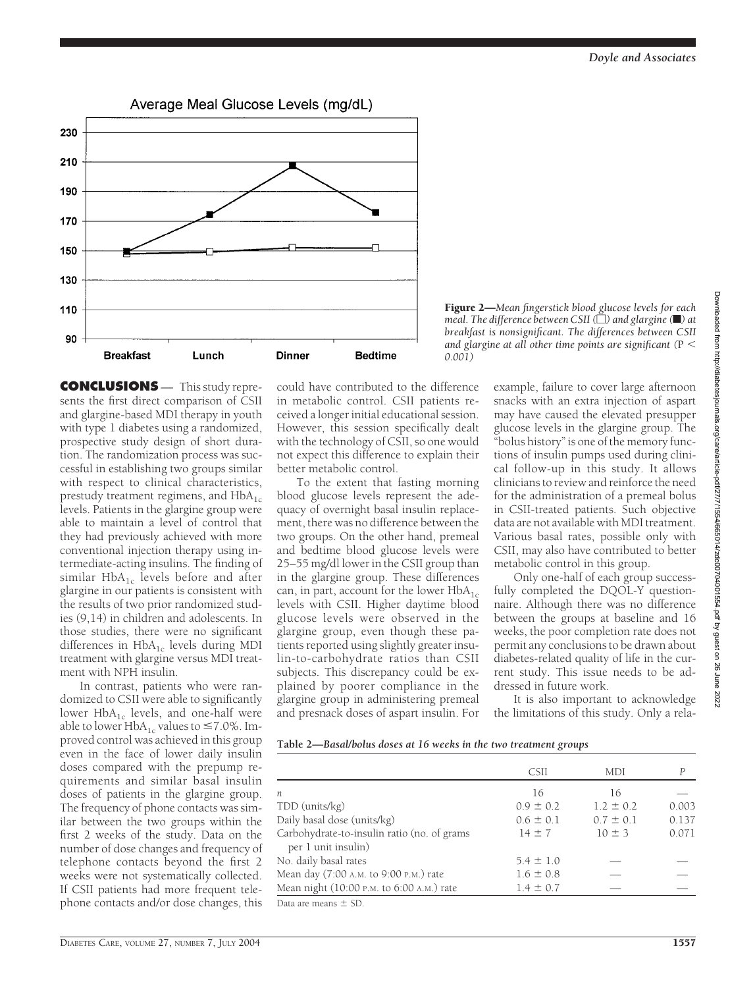

**CONCLUSIONS** — This study represents the first direct comparison of CSII and glargine-based MDI therapy in youth with type 1 diabetes using a randomized, prospective study design of short duration. The randomization process was successful in establishing two groups similar with respect to clinical characteristics, prestudy treatment regimens, and  $HbA_{1c}$ levels. Patients in the glargine group were able to maintain a level of control that they had previously achieved with more conventional injection therapy using intermediate-acting insulins. The finding of similar  $HbA_{1c}$  levels before and after glargine in our patients is consistent with the results of two prior randomized studies (9,14) in children and adolescents. In those studies, there were no significant differences in  $HbA_{1c}$  levels during MDI treatment with glargine versus MDI treatment with NPH insulin.

In contrast, patients who were randomized to CSII were able to significantly lower  $HbA_{1c}$  levels, and one-half were able to lower  $HbA_{1c}$  values to  $\leq 7.0\%$ . Improved control was achieved in this group even in the face of lower daily insulin doses compared with the prepump requirements and similar basal insulin doses of patients in the glargine group. The frequency of phone contacts was similar between the two groups within the first 2 weeks of the study. Data on the number of dose changes and frequency of telephone contacts beyond the first 2 weeks were not systematically collected. If CSII patients had more frequent telephone contacts and/or dose changes, this

could have contributed to the difference in metabolic control. CSII patients received a longer initial educational session. However, this session specifically dealt with the technology of CSII, so one would not expect this difference to explain their better metabolic control.

To the extent that fasting morning blood glucose levels represent the adequacy of overnight basal insulin replacement, there was no difference between the two groups. On the other hand, premeal and bedtime blood glucose levels were 25–55 mg/dl lower in the CSII group than in the glargine group. These differences can, in part, account for the lower  $HbA<sub>1c</sub>$ levels with CSII. Higher daytime blood glucose levels were observed in the glargine group, even though these patients reported using slightly greater insulin-to-carbohydrate ratios than CSII subjects. This discrepancy could be explained by poorer compliance in the glargine group in administering premeal and presnack doses of aspart insulin. For

Figure 2—*Mean fingerstick blood glucose levels for each meal. The difference between CSII (*-*) and glargine (*f*) at breakfast is nonsignificant. The differences between CSII and glargine at all other time points are significant (*P *0.001)*

example, failure to cover large afternoon snacks with an extra injection of aspart may have caused the elevated presupper glucose levels in the glargine group. The "bolus history"is one of the memory functions of insulin pumps used during clinical follow-up in this study. It allows clinicians to review and reinforce the need for the administration of a premeal bolus in CSII-treated patients. Such objective data are not available with MDI treatment. Various basal rates, possible only with CSII, may also have contributed to better metabolic control in this group.

Only one-half of each group successfully completed the DQOL-Y questionnaire. Although there was no difference between the groups at baseline and 16 weeks, the poor completion rate does not permit any conclusions to be drawn about diabetes-related quality of life in the current study. This issue needs to be addressed in future work.

It is also important to acknowledge the limitations of this study. Only a rela-

**Table 2—***Basal/bolus doses at 16 weeks in the two treatment groups*

|                                                                    | <b>CSII</b>   | MDI           | P     |
|--------------------------------------------------------------------|---------------|---------------|-------|
| n                                                                  | 16            | 16            |       |
| TDD (units/kg)                                                     | $0.9 \pm 0.2$ | $1.2 \pm 0.2$ | 0.003 |
| Daily basal dose (units/kg)                                        | $0.6 \pm 0.1$ | $0.7 \pm 0.1$ | 0.137 |
| Carbohydrate-to-insulin ratio (no. of grams<br>per 1 unit insulin) | $14 \pm 7$    | $10 \pm 3$    | 0.071 |
| No. daily basal rates                                              | $5.4 \pm 1.0$ |               |       |
| Mean day (7:00 A.M. to 9:00 P.M.) rate                             | $1.6 \pm 0.8$ |               |       |
| Mean night (10:00 P.M. to 6:00 A.M.) rate                          | $1.4 \pm 0.7$ |               |       |
| Data are means $\pm$ SD.                                           |               |               |       |